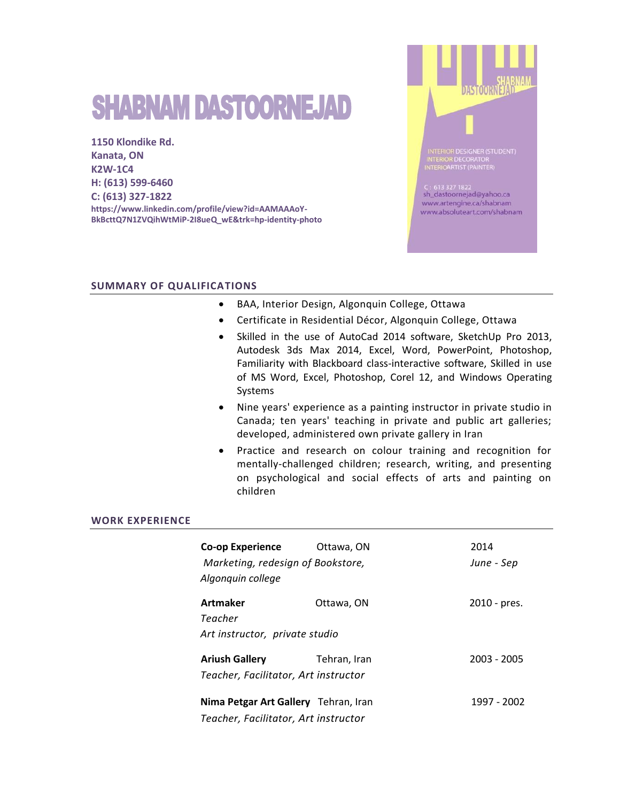# **SHABNAM DASTOORNEJAD**

**1150 Klondike Rd. Kanata, ON K2W-1C4 H: (613) 599-6460 C: (613) 327-1822 https://www.linkedin.com/profile/view?id=AAMAAAoY-BkBcttQ7N1ZVQihWtMiP-2I8ueQ\_wE&trk=hp-identity-photo**



## **SUMMARY OF QUALIFICATIONS**

- BAA, Interior Design, Algonquin College, Ottawa
- Certificate in Residential Décor, Algonquin College, Ottawa
- Skilled in the use of AutoCad 2014 software, SketchUp Pro 2013, Autodesk 3ds Max 2014, Excel, Word, PowerPoint, Photoshop, Familiarity with Blackboard class-interactive software, Skilled in use of MS Word, Excel, Photoshop, Corel 12, and Windows Operating Systems
- Nine years' experience as a painting instructor in private studio in Canada; ten years' teaching in private and public art galleries; developed, administered own private gallery in Iran
- Practice and research on colour training and recognition for mentally-challenged children; research, writing, and presenting on psychological and social effects of arts and painting on children

#### **WORK EXPERIENCE**

| Co-op Experience<br>Marketing, redesign of Bookstore,<br>Algonguin college   | Ottawa, ON   | 2014<br>June - Sep |
|------------------------------------------------------------------------------|--------------|--------------------|
| Artmaker<br>Teacher<br>Art instructor, private studio                        | Ottawa, ON   | 2010 - pres.       |
| <b>Ariush Gallery</b><br>Teacher, Facilitator, Art instructor                | Tehran, Iran | 2003 - 2005        |
| Nima Petgar Art Gallery Tehran, Iran<br>Teacher, Facilitator, Art instructor |              | 1997 - 2002        |